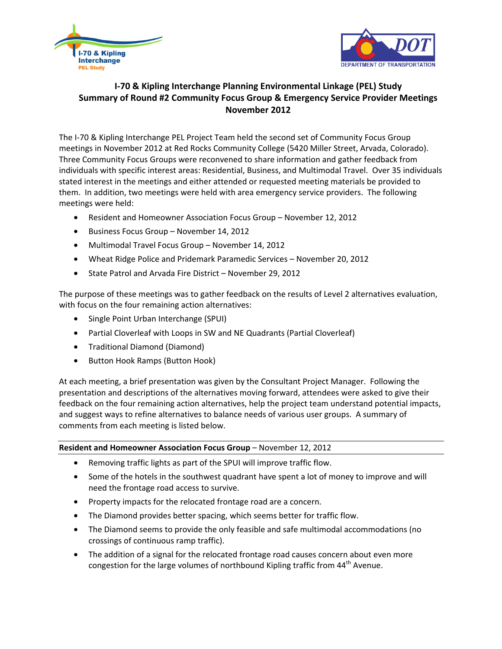



# **I-70 & Kipling Interchange Planning Environmental Linkage (PEL) Study Summary of Round #2 Community Focus Group & Emergency Service Provider Meetings November 2012**

The I-70 & Kipling Interchange PEL Project Team held the second set of Community Focus Group meetings in November 2012 at Red Rocks Community College (5420 Miller Street, Arvada, Colorado). Three Community Focus Groups were reconvened to share information and gather feedback from individuals with specific interest areas: Residential, Business, and Multimodal Travel. Over 35 individuals stated interest in the meetings and either attended or requested meeting materials be provided to them. In addition, two meetings were held with area emergency service providers. The following meetings were held:

- Resident and Homeowner Association Focus Group November 12, 2012
- Business Focus Group November 14, 2012
- Multimodal Travel Focus Group November 14, 2012
- Wheat Ridge Police and Pridemark Paramedic Services November 20, 2012
- State Patrol and Arvada Fire District November 29, 2012

The purpose of these meetings was to gather feedback on the results of Level 2 alternatives evaluation, with focus on the four remaining action alternatives:

- Single Point Urban Interchange (SPUI)
- Partial Cloverleaf with Loops in SW and NE Quadrants (Partial Cloverleaf)
- Traditional Diamond (Diamond)
- Button Hook Ramps (Button Hook)

At each meeting, a brief presentation was given by the Consultant Project Manager. Following the presentation and descriptions of the alternatives moving forward, attendees were asked to give their feedback on the four remaining action alternatives, help the project team understand potential impacts, and suggest ways to refine alternatives to balance needs of various user groups. A summary of comments from each meeting is listed below.

#### **Resident and Homeowner Association Focus Group** – November 12, 2012

- Removing traffic lights as part of the SPUI will improve traffic flow.
- Some of the hotels in the southwest quadrant have spent a lot of money to improve and will need the frontage road access to survive.
- Property impacts for the relocated frontage road are a concern.
- The Diamond provides better spacing, which seems better for traffic flow.
- The Diamond seems to provide the only feasible and safe multimodal accommodations (no crossings of continuous ramp traffic).
- The addition of a signal for the relocated frontage road causes concern about even more congestion for the large volumes of northbound Kipling traffic from 44<sup>th</sup> Avenue.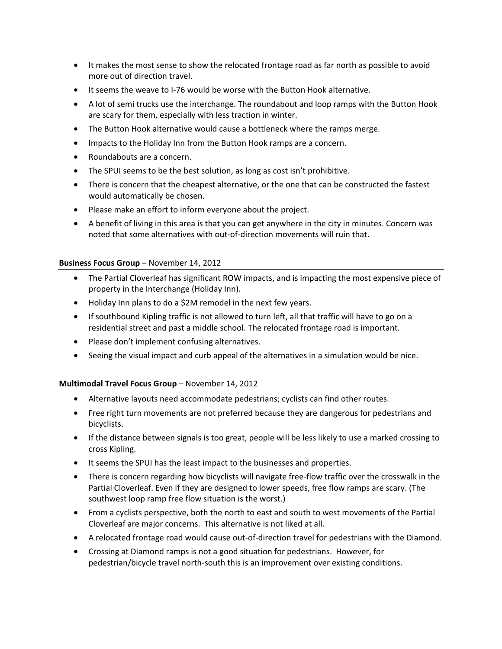- It makes the most sense to show the relocated frontage road as far north as possible to avoid more out of direction travel.
- It seems the weave to I-76 would be worse with the Button Hook alternative.
- A lot of semi trucks use the interchange. The roundabout and loop ramps with the Button Hook are scary for them, especially with less traction in winter.
- The Button Hook alternative would cause a bottleneck where the ramps merge.
- Impacts to the Holiday Inn from the Button Hook ramps are a concern.
- Roundabouts are a concern.
- The SPUI seems to be the best solution, as long as cost isn't prohibitive.
- There is concern that the cheapest alternative, or the one that can be constructed the fastest would automatically be chosen.
- Please make an effort to inform everyone about the project.
- A benefit of living in this area is that you can get anywhere in the city in minutes. Concern was noted that some alternatives with out-of-direction movements will ruin that.

### **Business Focus Group** – November 14, 2012

- The Partial Cloverleaf has significant ROW impacts, and is impacting the most expensive piece of property in the Interchange (Holiday Inn).
- Holiday Inn plans to do a \$2M remodel in the next few years.
- If southbound Kipling traffic is not allowed to turn left, all that traffic will have to go on a residential street and past a middle school. The relocated frontage road is important.
- Please don't implement confusing alternatives.
- Seeing the visual impact and curb appeal of the alternatives in a simulation would be nice.

# **Multimodal Travel Focus Group** – November 14, 2012

- Alternative layouts need accommodate pedestrians; cyclists can find other routes.
- Free right turn movements are not preferred because they are dangerous for pedestrians and bicyclists.
- If the distance between signals is too great, people will be less likely to use a marked crossing to cross Kipling.
- It seems the SPUI has the least impact to the businesses and properties.
- There is concern regarding how bicyclists will navigate free-flow traffic over the crosswalk in the Partial Cloverleaf. Even if they are designed to lower speeds, free flow ramps are scary. (The southwest loop ramp free flow situation is the worst.)
- From a cyclists perspective, both the north to east and south to west movements of the Partial Cloverleaf are major concerns. This alternative is not liked at all.
- A relocated frontage road would cause out-of-direction travel for pedestrians with the Diamond.
- Crossing at Diamond ramps is not a good situation for pedestrians. However, for pedestrian/bicycle travel north-south this is an improvement over existing conditions.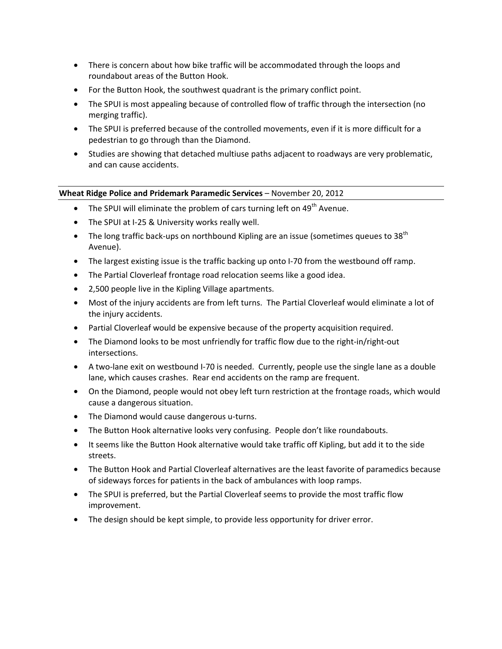- There is concern about how bike traffic will be accommodated through the loops and roundabout areas of the Button Hook.
- For the Button Hook, the southwest quadrant is the primary conflict point.
- The SPUI is most appealing because of controlled flow of traffic through the intersection (no merging traffic).
- The SPUI is preferred because of the controlled movements, even if it is more difficult for a pedestrian to go through than the Diamond.
- Studies are showing that detached multiuse paths adjacent to roadways are very problematic, and can cause accidents.

### **Wheat Ridge Police and Pridemark Paramedic Services** – November 20, 2012

- The SPUI will eliminate the problem of cars turning left on  $49<sup>th</sup>$  Avenue.
- The SPUI at I-25 & University works really well.
- The long traffic back-ups on northbound Kipling are an issue (sometimes queues to 38<sup>th</sup> Avenue).
- The largest existing issue is the traffic backing up onto I-70 from the westbound off ramp.
- The Partial Cloverleaf frontage road relocation seems like a good idea.
- 2,500 people live in the Kipling Village apartments.
- Most of the injury accidents are from left turns. The Partial Cloverleaf would eliminate a lot of the injury accidents.
- Partial Cloverleaf would be expensive because of the property acquisition required.
- The Diamond looks to be most unfriendly for traffic flow due to the right-in/right-out intersections.
- A two-lane exit on westbound I-70 is needed. Currently, people use the single lane as a double lane, which causes crashes. Rear end accidents on the ramp are frequent.
- On the Diamond, people would not obey left turn restriction at the frontage roads, which would cause a dangerous situation.
- The Diamond would cause dangerous u-turns.
- The Button Hook alternative looks very confusing. People don't like roundabouts.
- It seems like the Button Hook alternative would take traffic off Kipling, but add it to the side streets.
- The Button Hook and Partial Cloverleaf alternatives are the least favorite of paramedics because of sideways forces for patients in the back of ambulances with loop ramps.
- The SPUI is preferred, but the Partial Cloverleaf seems to provide the most traffic flow improvement.
- The design should be kept simple, to provide less opportunity for driver error.